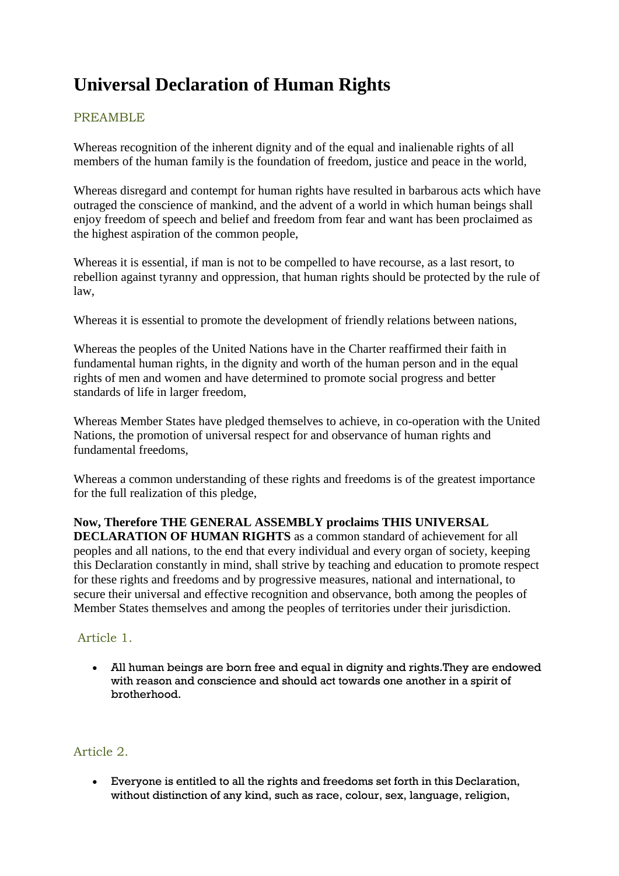# **Universal Declaration of Human Rights**

# PREAMBLE

Whereas recognition of the inherent dignity and of the equal and inalienable rights of all members of the human family is the foundation of freedom, justice and peace in the world,

Whereas disregard and contempt for human rights have resulted in barbarous acts which have outraged the conscience of mankind, and the advent of a world in which human beings shall enjoy freedom of speech and belief and freedom from fear and want has been proclaimed as the highest aspiration of the common people,

Whereas it is essential, if man is not to be compelled to have recourse, as a last resort, to rebellion against tyranny and oppression, that human rights should be protected by the rule of law,

Whereas it is essential to promote the development of friendly relations between nations,

Whereas the peoples of the United Nations have in the Charter reaffirmed their faith in fundamental human rights, in the dignity and worth of the human person and in the equal rights of men and women and have determined to promote social progress and better standards of life in larger freedom,

Whereas Member States have pledged themselves to achieve, in co-operation with the United Nations, the promotion of universal respect for and observance of human rights and fundamental freedoms,

Whereas a common understanding of these rights and freedoms is of the greatest importance for the full realization of this pledge,

**Now, Therefore THE GENERAL ASSEMBLY proclaims THIS UNIVERSAL DECLARATION OF HUMAN RIGHTS** as a common standard of achievement for all peoples and all nations, to the end that every individual and every organ of society, keeping this Declaration constantly in mind, shall strive by teaching and education to promote respect for these rights and freedoms and by progressive measures, national and international, to secure their universal and effective recognition and observance, both among the peoples of Member States themselves and among the peoples of territories under their jurisdiction.

# Article 1.

 All human beings are born free and equal in dignity and rights.They are endowed with reason and conscience and should act towards one another in a spirit of brotherhood.

# Article 2.

 Everyone is entitled to all the rights and freedoms set forth in this Declaration, without distinction of any kind, such as race, colour, sex, language, religion,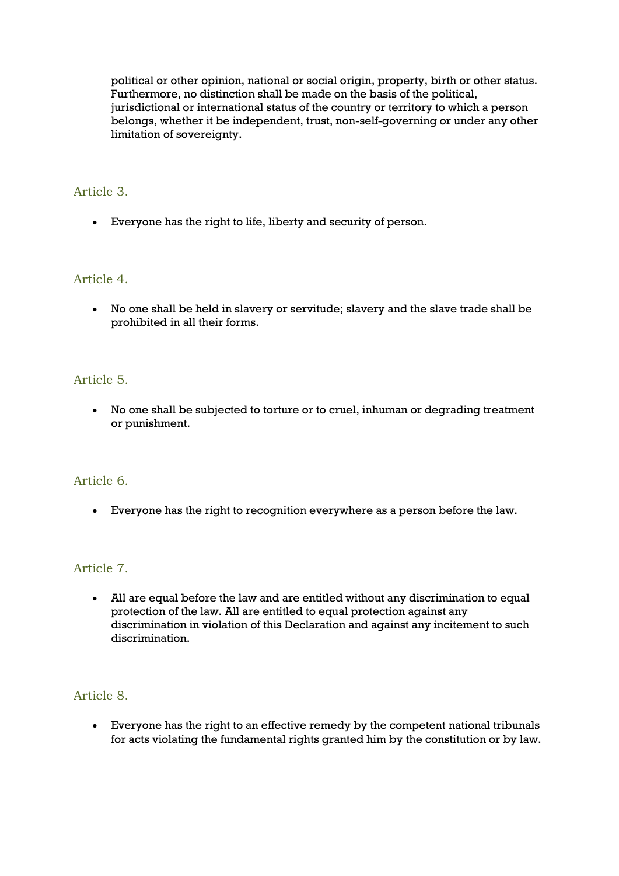political or other opinion, national or social origin, property, birth or other status. Furthermore, no distinction shall be made on the basis of the political, jurisdictional or international status of the country or territory to which a person belongs, whether it be independent, trust, non-self-governing or under any other limitation of sovereignty.

## Article 3.

Everyone has the right to life, liberty and security of person.

#### Article 4.

 No one shall be held in slavery or servitude; slavery and the slave trade shall be prohibited in all their forms.

#### Article 5.

 No one shall be subjected to torture or to cruel, inhuman or degrading treatment or punishment.

#### Article 6.

Everyone has the right to recognition everywhere as a person before the law.

## Article 7.

 All are equal before the law and are entitled without any discrimination to equal protection of the law. All are entitled to equal protection against any discrimination in violation of this Declaration and against any incitement to such discrimination.

#### Article 8.

 Everyone has the right to an effective remedy by the competent national tribunals for acts violating the fundamental rights granted him by the constitution or by law.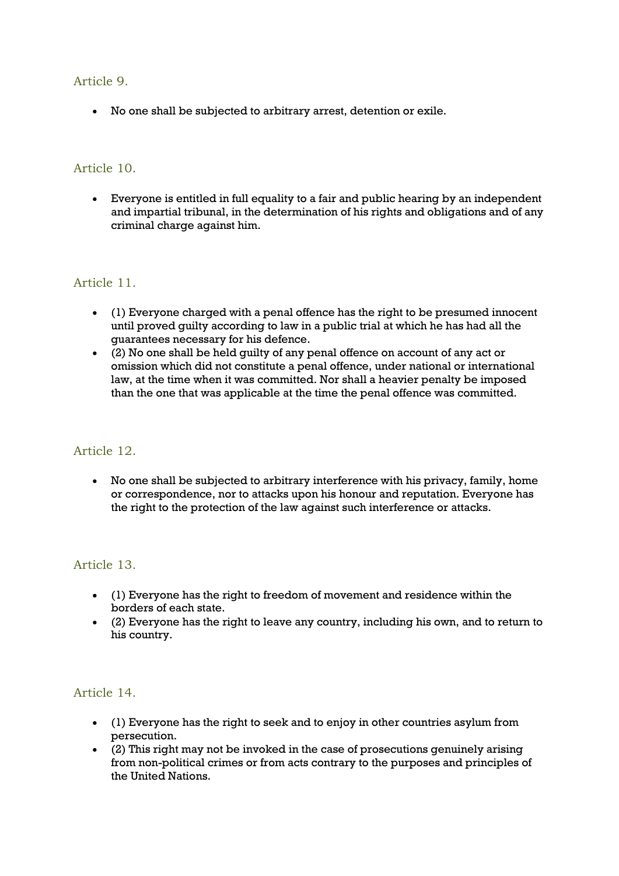#### Article 9.

No one shall be subjected to arbitrary arrest, detention or exile.

#### Article 10.

 Everyone is entitled in full equality to a fair and public hearing by an independent and impartial tribunal, in the determination of his rights and obligations and of any criminal charge against him.

#### Article 11.

- (1) Everyone charged with a penal offence has the right to be presumed innocent until proved guilty according to law in a public trial at which he has had all the guarantees necessary for his defence.
- (2) No one shall be held guilty of any penal offence on account of any act or omission which did not constitute a penal offence, under national or international law, at the time when it was committed. Nor shall a heavier penalty be imposed than the one that was applicable at the time the penal offence was committed.

#### Article 12.

 No one shall be subjected to arbitrary interference with his privacy, family, home or correspondence, nor to attacks upon his honour and reputation. Everyone has the right to the protection of the law against such interference or attacks.

#### Article 13.

- (1) Everyone has the right to freedom of movement and residence within the borders of each state.
- (2) Everyone has the right to leave any country, including his own, and to return to his country.

#### Article 14.

- (1) Everyone has the right to seek and to enjoy in other countries asylum from persecution.
- (2) This right may not be invoked in the case of prosecutions genuinely arising from non-political crimes or from acts contrary to the purposes and principles of the United Nations.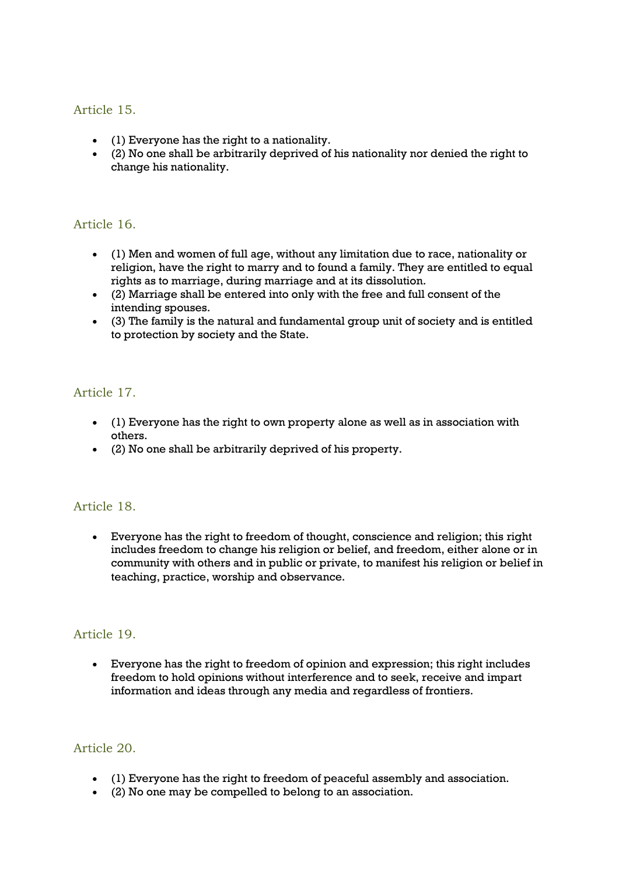## Article 15.

- (1) Everyone has the right to a nationality.
- (2) No one shall be arbitrarily deprived of his nationality nor denied the right to change his nationality.

### Article 16.

- (1) Men and women of full age, without any limitation due to race, nationality or religion, have the right to marry and to found a family. They are entitled to equal rights as to marriage, during marriage and at its dissolution.
- (2) Marriage shall be entered into only with the free and full consent of the intending spouses.
- (3) The family is the natural and fundamental group unit of society and is entitled to protection by society and the State.

# Article 17.

- (1) Everyone has the right to own property alone as well as in association with others.
- (2) No one shall be arbitrarily deprived of his property.

#### Article 18.

 Everyone has the right to freedom of thought, conscience and religion; this right includes freedom to change his religion or belief, and freedom, either alone or in community with others and in public or private, to manifest his religion or belief in teaching, practice, worship and observance.

#### Article 19.

 Everyone has the right to freedom of opinion and expression; this right includes freedom to hold opinions without interference and to seek, receive and impart information and ideas through any media and regardless of frontiers.

#### Article 20.

- (1) Everyone has the right to freedom of peaceful assembly and association.
- (2) No one may be compelled to belong to an association.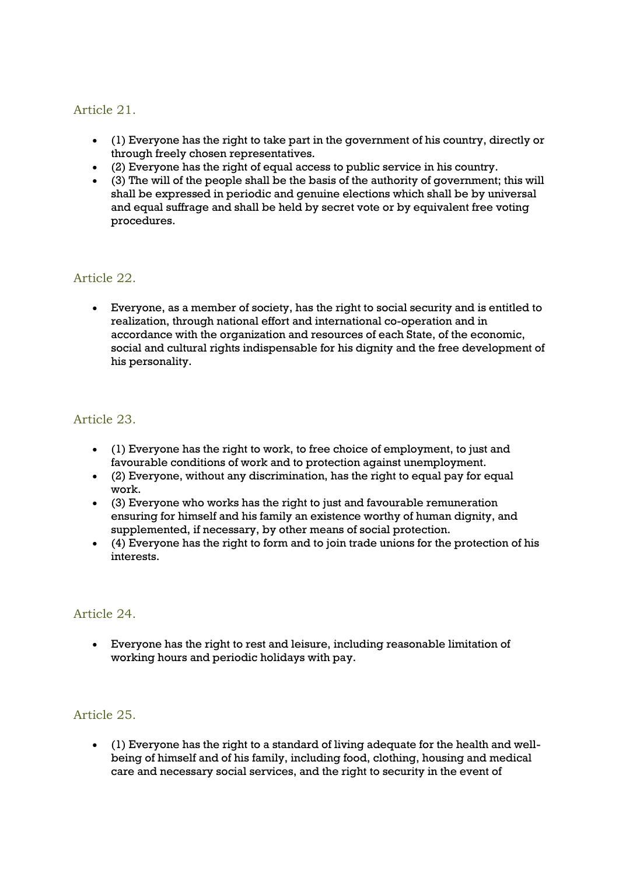# Article 21.

- (1) Everyone has the right to take part in the government of his country, directly or through freely chosen representatives.
- (2) Everyone has the right of equal access to public service in his country.
- $(3)$  The will of the people shall be the basis of the authority of government; this will shall be expressed in periodic and genuine elections which shall be by universal and equal suffrage and shall be held by secret vote or by equivalent free voting procedures.

## Article 22.

 Everyone, as a member of society, has the right to social security and is entitled to realization, through national effort and international co-operation and in accordance with the organization and resources of each State, of the economic, social and cultural rights indispensable for his dignity and the free development of his personality.

## Article 23.

- (1) Everyone has the right to work, to free choice of employment, to just and favourable conditions of work and to protection against unemployment.
- (2) Everyone, without any discrimination, has the right to equal pay for equal work.
- (3) Everyone who works has the right to just and favourable remuneration ensuring for himself and his family an existence worthy of human dignity, and supplemented, if necessary, by other means of social protection.
- $(4)$  Everyone has the right to form and to join trade unions for the protection of his interests.

#### Article 24.

 Everyone has the right to rest and leisure, including reasonable limitation of working hours and periodic holidays with pay.

## Article 25.

 (1) Everyone has the right to a standard of living adequate for the health and wellbeing of himself and of his family, including food, clothing, housing and medical care and necessary social services, and the right to security in the event of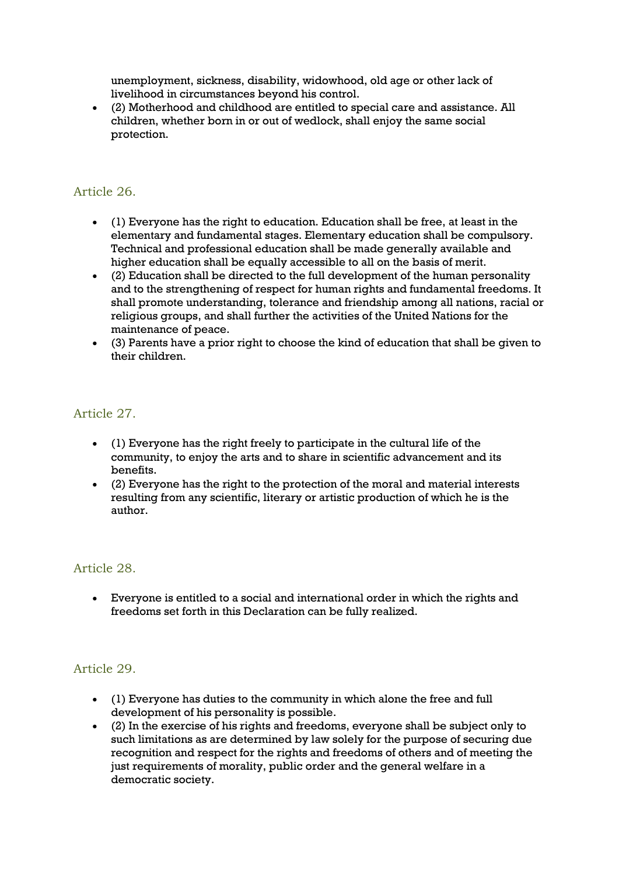unemployment, sickness, disability, widowhood, old age or other lack of livelihood in circumstances beyond his control.

 (2) Motherhood and childhood are entitled to special care and assistance. All children, whether born in or out of wedlock, shall enjoy the same social protection.

## Article 26.

- (1) Everyone has the right to education. Education shall be free, at least in the elementary and fundamental stages. Elementary education shall be compulsory. Technical and professional education shall be made generally available and higher education shall be equally accessible to all on the basis of merit.
- (2) Education shall be directed to the full development of the human personality and to the strengthening of respect for human rights and fundamental freedoms. It shall promote understanding, tolerance and friendship among all nations, racial or religious groups, and shall further the activities of the United Nations for the maintenance of peace.
- (3) Parents have a prior right to choose the kind of education that shall be given to their children.

#### Article 27.

- (1) Everyone has the right freely to participate in the cultural life of the community, to enjoy the arts and to share in scientific advancement and its benefits.
- (2) Everyone has the right to the protection of the moral and material interests resulting from any scientific, literary or artistic production of which he is the author.

#### Article 28.

 Everyone is entitled to a social and international order in which the rights and freedoms set forth in this Declaration can be fully realized.

#### Article 29.

- (1) Everyone has duties to the community in which alone the free and full development of his personality is possible.
- (2) In the exercise of his rights and freedoms, everyone shall be subject only to such limitations as are determined by law solely for the purpose of securing due recognition and respect for the rights and freedoms of others and of meeting the just requirements of morality, public order and the general welfare in a democratic society.